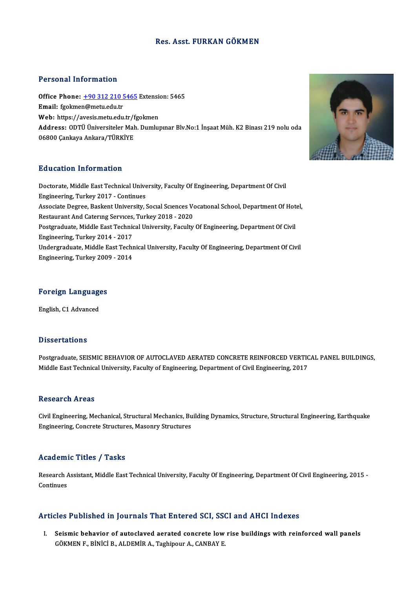# Res. Asst. FURKAN GÖKMEN

# Personal Information

Personal Information<br>Office Phone: <u>+90 312 210 5465</u> Extension: 5465<br>Email: foolmen@metu.edu.tr of distance in the matter.<br>Office Phone:  $\pm 90\,312\,210$ !<br>Email: fgokme[n@metu.edu.tr](tel:+90 312 210 5465) Office Phone: <u>+90 312 210 5465</u> Extensie<br>Email: fgokmen@metu.edu.tr<br>Web: https://avesis.metu.edu.tr/fgokmen<br>Address: ODT<sup>rij ijniversiteler Meb Dumlu</sup> Email: fgokmen@metu.edu.tr<br>Web: https://avesis.metu.edu.tr/fgokmen<br>Address: ODTÜ Üniversiteler Mah. Dumlupınar Blv.No:1 İnşaat Müh. K2 Binası 219 nolu oda<br>06800 Cankaya Ankara/TÜRKİYE Web: https://avesis.metu.edu.tr/fgokmen

# Education Information

Education Information<br>Doctorate, Middle East Technical University, Faculty Of Engineering, Department Of Civil<br>Engineering, Turkey 2017, Continues Eu acation Tirror macron<br>Doctorate, Middle East Technical Unive<br>Engineering, Turkey 2017 - Continues Doctorate, Middle East Technical University, Faculty Of Engineering, Department Of Civil<br>Engineering, Turkey 2017 - Continues<br>Associate Degree, Baskent University, Social Sciences Vocational School, Department Of Hotel,<br>Re Engineering, Turkey 2017 - Continues<br>Associate Degree, Baskent University, Social Sciences Vo<br>Restaurant And Catering Services, Turkey 2018 - 2020<br>Pestaugduate Middle Fast Technical University, Faculty Associate Degree, Baskent University, Social Sciences Vocational School, Department Of Hot<br>Restaurant And Catering Services, Turkey 2018 - 2020<br>Postgraduate, Middle East Technical University, Faculty Of Engineering, Depart Restaurant And Catering Services,<br>Postgraduate, Middle East Technic<br>Engineering, Turkey 2014 - 2017<br>Undergraduate, Middle Fast Techn Postgraduate, Middle East Technical University, Faculty Of Engineering, Department Of Civil<br>Engineering, Turkey 2014 - 2017<br>Undergraduate, Middle East Technical University, Faculty Of Engineering, Department Of Civil<br>Engin Engineering, Turkey 2014 - 2017<br>Undergraduate, Middle East Techr<br>Engineering, Turkey 2009 - 2014 Engineering, Turkey 2009 - 2014<br>Foreign Languages

English, C1 Advanced

# **Dissertations**

Dissertations<br>Postgraduate, SEISMIC BEHAVIOR OF AUTOCLAVED AERATED CONCRETE REINFORCED VERTICAL PANEL BUILDINGS,<br>Middle Feet Technicel University, Feculty of Engineering, Department of Civil Engineering, 2017 Dissor tations<br>Postgraduate, SEISMIC BEHAVIOR OF AUTOCLAVED AERATED CONCRETE REINFORCED VERTIC<br>Middle East Technical University, Faculty of Engineering, Department of Civil Engineering, 2017 Middle East Technical University, Faculty of Engineering, Department of Civil Engineering, 2017<br>Research Areas

Research Areas<br>Civil Engineering, Mechanical, Structural Mechanics, Building Dynamics, Structure, Structural Engineering, Earthquake<br>Engineering, Congrate Structures, Masonry Structures ressear en 111 eas<br>Civil Engineering, Mechanical, Structural Mechanics, Bu<br>Engineering, Concrete Structures, Masonry Structures Engineering, Concrete Structures, Masonry Structures<br>Academic Titles / Tasks

**Academic Titles / Tasks**<br>Research Assistant, Middle East Technical University, Faculty Of Engineering, Department Of Civil Engineering, 2015 -<br>Continues Research Andrews<br>Continues Articles Published in Journals That Entered SCI, SSCI and AHCI Indexes

I. Seismic behavior of autoclaved aerated concrete lowrise buildings with reinforced wal panels GÖKMENF.,BİNİCİB.,ALDEMİRA.,TaghipourA.,CANBAYE.